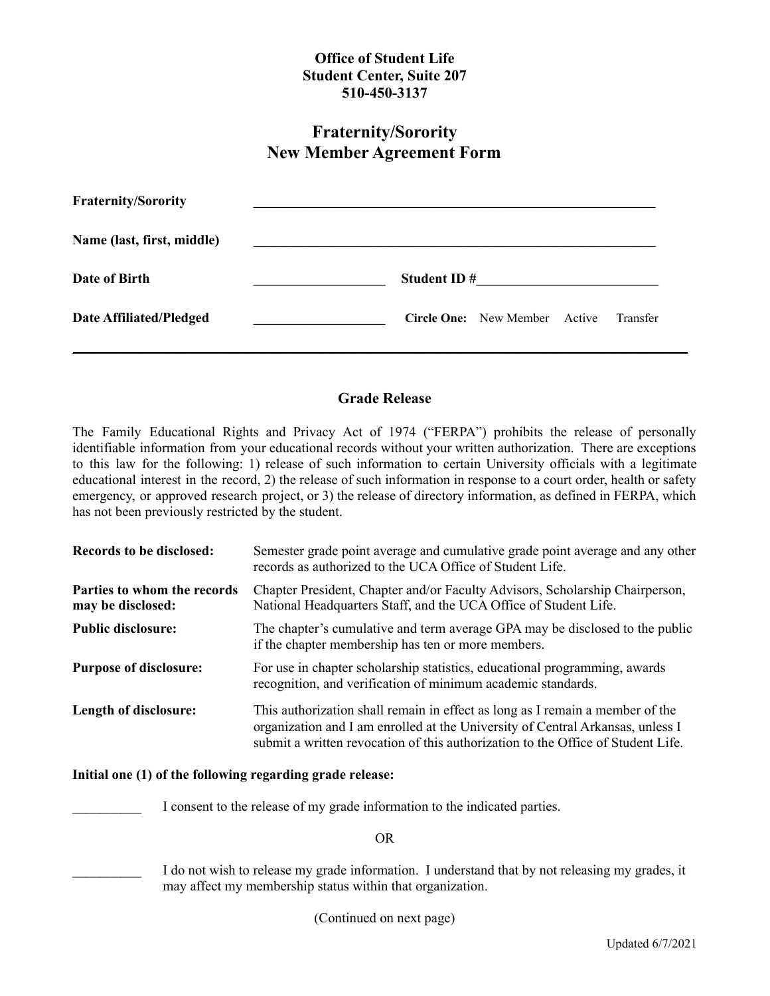## **Office of Student Life Student Center, Suite 207 510-450-3137**

# **Fraternity/Sorority New Member Agreement Form**

| <b>Fraternity/Sorority</b>     |                    |                                      |          |
|--------------------------------|--------------------|--------------------------------------|----------|
| Name (last, first, middle)     |                    |                                      |          |
| Date of Birth                  | <b>Student ID#</b> |                                      |          |
| <b>Date Affiliated/Pledged</b> |                    | <b>Circle One:</b> New Member Active | Transfer |

### **Grade Release**

The Family Educational Rights and Privacy Act of 1974 ("FERPA") prohibits the release of personally identifiable information from your educational records without your written authorization. There are exceptions to this law for the following: 1) release of such information to certain University officials with a legitimate educational interest in the record, 2) the release of such information in response to a court order, health or safety emergency, or approved research project, or 3) the release of directory information, as defined in FERPA, which has not been previously restricted by the student.

| Records to be disclosed:                         | Semester grade point average and cumulative grade point average and any other<br>records as authorized to the UCA Office of Student Life.                                                                                                           |
|--------------------------------------------------|-----------------------------------------------------------------------------------------------------------------------------------------------------------------------------------------------------------------------------------------------------|
| Parties to whom the records<br>may be disclosed: | Chapter President, Chapter and/or Faculty Advisors, Scholarship Chairperson,<br>National Headquarters Staff, and the UCA Office of Student Life.                                                                                                    |
| <b>Public disclosure:</b>                        | The chapter's cumulative and term average GPA may be disclosed to the public<br>if the chapter membership has ten or more members.                                                                                                                  |
| <b>Purpose of disclosure:</b>                    | For use in chapter scholarship statistics, educational programming, awards<br>recognition, and verification of minimum academic standards.                                                                                                          |
| Length of disclosure:                            | This authorization shall remain in effect as long as I remain a member of the<br>organization and I am enrolled at the University of Central Arkansas, unless I<br>submit a written revocation of this authorization to the Office of Student Life. |

#### **Initial one (1) of the following regarding grade release:**

I consent to the release of my grade information to the indicated parties.

OR

I do not wish to release my grade information. I understand that by not releasing my grades, it may affect my membership status within that organization.

(Continued on next page)